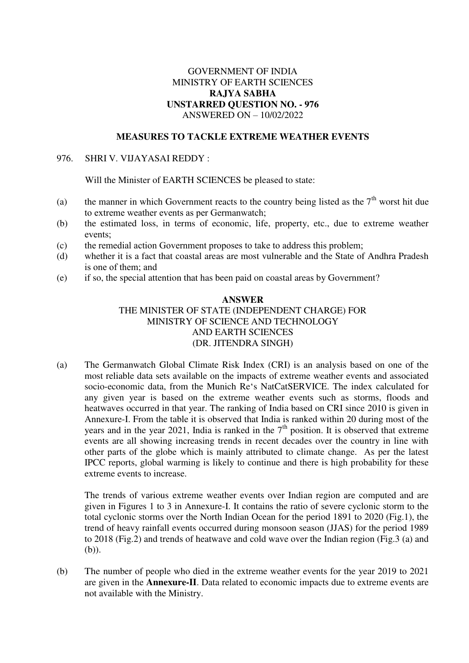## GOVERNMENT OF INDIA MINISTRY OF EARTH SCIENCES **RAJYA SABHA UNSTARRED QUESTION NO. - 976**  ANSWERED ON – 10/02/2022

### **MEASURES TO TACKLE EXTREME WEATHER EVENTS**

#### 976. SHRI V. VIJAYASAI REDDY :

Will the Minister of EARTH SCIENCES be pleased to state:

- (a) the manner in which Government reacts to the country being listed as the  $7<sup>th</sup>$  worst hit due to extreme weather events as per Germanwatch;
- (b) the estimated loss, in terms of economic, life, property, etc., due to extreme weather events;
- (c) the remedial action Government proposes to take to address this problem;
- (d) whether it is a fact that coastal areas are most vulnerable and the State of Andhra Pradesh is one of them; and
- (e) if so, the special attention that has been paid on coastal areas by Government?

## **ANSWER**  THE MINISTER OF STATE (INDEPENDENT CHARGE) FOR MINISTRY OF SCIENCE AND TECHNOLOGY AND EARTH SCIENCES (DR. JITENDRA SINGH)

(a) The Germanwatch Global Climate Risk Index (CRI) is an analysis based on one of the most reliable data sets available on the impacts of extreme weather events and associated socio-economic data, from the Munich Re's NatCatSERVICE. The index calculated for any given year is based on the extreme weather events such as storms, floods and heatwaves occurred in that year. The ranking of India based on CRI since 2010 is given in Annexure-I. From the table it is observed that India is ranked within 20 during most of the years and in the year  $2021$ , India is ranked in the  $7<sup>th</sup>$  position. It is observed that extreme events are all showing increasing trends in recent decades over the country in line with other parts of the globe which is mainly attributed to climate change. As per the latest IPCC reports, global warming is likely to continue and there is high probability for these extreme events to increase.

The trends of various extreme weather events over Indian region are computed and are given in Figures 1 to 3 in Annexure-I. It contains the ratio of severe cyclonic storm to the total cyclonic storms over the North Indian Ocean for the period 1891 to 2020 (Fig.1), the trend of heavy rainfall events occurred during monsoon season (JJAS) for the period 1989 to 2018 (Fig.2) and trends of heatwave and cold wave over the Indian region (Fig.3 (a) and (b)).

(b) The number of people who died in the extreme weather events for the year 2019 to 2021 are given in the **Annexure-II**. Data related to economic impacts due to extreme events are not available with the Ministry.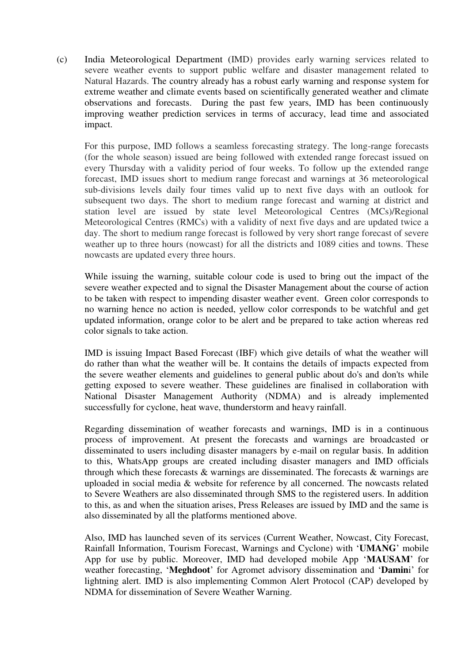(c) India Meteorological Department (IMD) provides early warning services related to severe weather events to support public welfare and disaster management related to Natural Hazards. The country already has a robust early warning and response system for extreme weather and climate events based on scientifically generated weather and climate observations and forecasts. During the past few years, IMD has been continuously improving weather prediction services in terms of accuracy, lead time and associated impact.

For this purpose, IMD follows a seamless forecasting strategy. The long-range forecasts (for the whole season) issued are being followed with extended range forecast issued on every Thursday with a validity period of four weeks. To follow up the extended range forecast, IMD issues short to medium range forecast and warnings at 36 meteorological sub-divisions levels daily four times valid up to next five days with an outlook for subsequent two days. The short to medium range forecast and warning at district and station level are issued by state level Meteorological Centres (MCs)/Regional Meteorological Centres (RMCs) with a validity of next five days and are updated twice a day. The short to medium range forecast is followed by very short range forecast of severe weather up to three hours (nowcast) for all the districts and 1089 cities and towns. These nowcasts are updated every three hours.

While issuing the warning, suitable colour code is used to bring out the impact of the severe weather expected and to signal the Disaster Management about the course of action to be taken with respect to impending disaster weather event. Green color corresponds to no warning hence no action is needed, yellow color corresponds to be watchful and get updated information, orange color to be alert and be prepared to take action whereas red color signals to take action.

IMD is issuing Impact Based Forecast (IBF) which give details of what the weather will do rather than what the weather will be. It contains the details of impacts expected from the severe weather elements and guidelines to general public about do's and don'ts while getting exposed to severe weather. These guidelines are finalised in collaboration with National Disaster Management Authority (NDMA) and is already implemented successfully for cyclone, heat wave, thunderstorm and heavy rainfall.

Regarding dissemination of weather forecasts and warnings, IMD is in a continuous process of improvement. At present the forecasts and warnings are broadcasted or disseminated to users including disaster managers by e-mail on regular basis. In addition to this, WhatsApp groups are created including disaster managers and IMD officials through which these forecasts & warnings are disseminated. The forecasts & warnings are uploaded in social media & website for reference by all concerned. The nowcasts related to Severe Weathers are also disseminated through SMS to the registered users. In addition to this, as and when the situation arises, Press Releases are issued by IMD and the same is also disseminated by all the platforms mentioned above.

Also, IMD has launched seven of its services (Current Weather, Nowcast, City Forecast, Rainfall Information, Tourism Forecast, Warnings and Cyclone) with '**UMANG**' mobile App for use by public. Moreover, IMD had developed mobile App '**MAUSAM**' for weather forecasting, '**Meghdoot**' for Agromet advisory dissemination and '**Damin**i' for lightning alert. IMD is also implementing Common Alert Protocol (CAP) developed by NDMA for dissemination of Severe Weather Warning.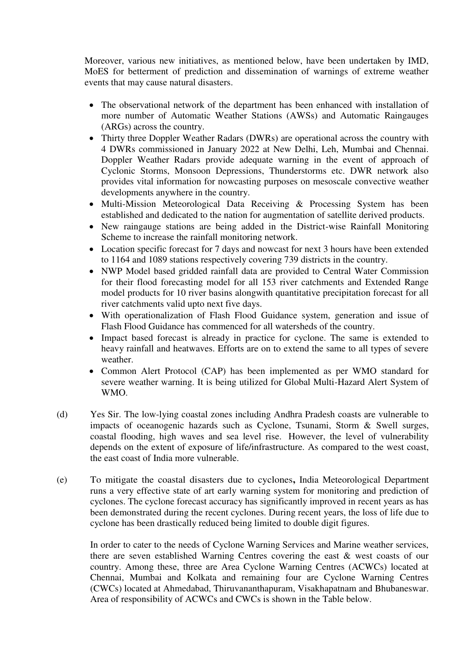Moreover, various new initiatives, as mentioned below, have been undertaken by IMD, MoES for betterment of prediction and dissemination of warnings of extreme weather events that may cause natural disasters.

- The observational network of the department has been enhanced with installation of more number of Automatic Weather Stations (AWSs) and Automatic Raingauges (ARGs) across the country.
- Thirty three Doppler Weather Radars (DWRs) are operational across the country with 4 DWRs commissioned in January 2022 at New Delhi, Leh, Mumbai and Chennai. Doppler Weather Radars provide adequate warning in the event of approach of Cyclonic Storms, Monsoon Depressions, Thunderstorms etc. DWR network also provides vital information for nowcasting purposes on mesoscale convective weather developments anywhere in the country.
- Multi-Mission Meteorological Data Receiving & Processing System has been established and dedicated to the nation for augmentation of satellite derived products.
- New raingauge stations are being added in the District-wise Rainfall Monitoring Scheme to increase the rainfall monitoring network.
- Location specific forecast for 7 days and nowcast for next 3 hours have been extended to 1164 and 1089 stations respectively covering 739 districts in the country.
- NWP Model based gridded rainfall data are provided to Central Water Commission for their flood forecasting model for all 153 river catchments and Extended Range model products for 10 river basins alongwith quantitative precipitation forecast for all river catchments valid upto next five days.
- With operationalization of Flash Flood Guidance system, generation and issue of Flash Flood Guidance has commenced for all watersheds of the country.
- Impact based forecast is already in practice for cyclone. The same is extended to heavy rainfall and heatwaves. Efforts are on to extend the same to all types of severe weather.
- Common Alert Protocol (CAP) has been implemented as per WMO standard for severe weather warning. It is being utilized for Global Multi-Hazard Alert System of WMO.
- (d) Yes Sir. The low-lying coastal zones including Andhra Pradesh coasts are vulnerable to impacts of oceanogenic hazards such as Cyclone, Tsunami, Storm & Swell surges, coastal flooding, high waves and sea level rise. However, the level of vulnerability depends on the extent of exposure of life/infrastructure. As compared to the west coast, the east coast of India more vulnerable.
- (e) To mitigate the coastal disasters due to cyclones**,** India Meteorological Department runs a very effective state of art early warning system for monitoring and prediction of cyclones. The cyclone forecast accuracy has significantly improved in recent years as has been demonstrated during the recent cyclones. During recent years, the loss of life due to cyclone has been drastically reduced being limited to double digit figures.

In order to cater to the needs of Cyclone Warning Services and Marine weather services, there are seven established Warning Centres covering the east & west coasts of our country. Among these, three are Area Cyclone Warning Centres (ACWCs) located at Chennai, Mumbai and Kolkata and remaining four are Cyclone Warning Centres (CWCs) located at Ahmedabad, Thiruvananthapuram, Visakhapatnam and Bhubaneswar. Area of responsibility of ACWCs and CWCs is shown in the Table below.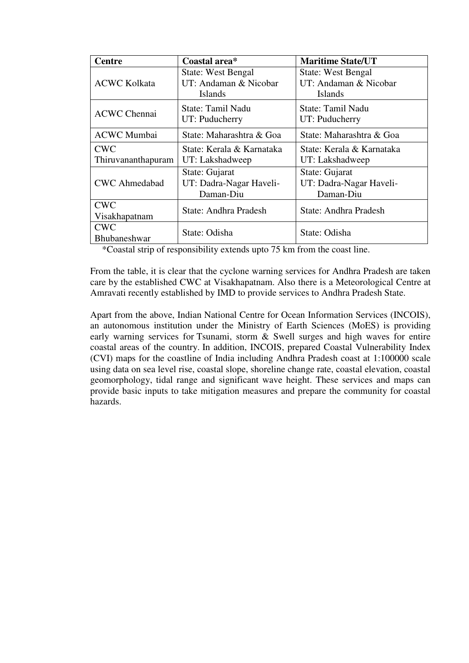| <b>Centre</b>        | Coastal area*             | <b>Maritime State/UT</b>  |  |  |  |  |
|----------------------|---------------------------|---------------------------|--|--|--|--|
|                      | <b>State: West Bengal</b> | <b>State: West Bengal</b> |  |  |  |  |
| <b>ACWC Kolkata</b>  | UT: Andaman & Nicobar     | UT: Andaman & Nicobar     |  |  |  |  |
|                      | Islands                   | Islands                   |  |  |  |  |
|                      | State: Tamil Nadu         | State: Tamil Nadu         |  |  |  |  |
| <b>ACWC Chennai</b>  | UT: Puducherry            | UT: Puducherry            |  |  |  |  |
| <b>ACWC</b> Mumbai   | State: Maharashtra & Goa  | State: Maharashtra & Goa  |  |  |  |  |
| <b>CWC</b>           | State: Kerala & Karnataka | State: Kerala & Karnataka |  |  |  |  |
| Thiruvananthapuram   | UT: Lakshadweep           | UT: Lakshadweep           |  |  |  |  |
|                      | State: Gujarat            | State: Gujarat            |  |  |  |  |
| <b>CWC</b> Ahmedabad | UT: Dadra-Nagar Haveli-   | UT: Dadra-Nagar Haveli-   |  |  |  |  |
|                      | Daman-Diu                 | Daman-Diu                 |  |  |  |  |
| <b>CWC</b>           | State: Andhra Pradesh     | State: Andhra Pradesh     |  |  |  |  |
| Visakhapatnam        |                           |                           |  |  |  |  |
| <b>CWC</b>           | State: Odisha             | State: Odisha             |  |  |  |  |
| Bhubaneshwar         |                           |                           |  |  |  |  |

\*Coastal strip of responsibility extends upto 75 km from the coast line.

From the table, it is clear that the cyclone warning services for Andhra Pradesh are taken care by the established CWC at Visakhapatnam. Also there is a Meteorological Centre at Amravati recently established by IMD to provide services to Andhra Pradesh State.

Apart from the above, Indian National Centre for Ocean Information Services (INCOIS), an autonomous institution under the Ministry of Earth Sciences (MoES) is providing early warning services for Tsunami, storm & Swell surges and high waves for entire coastal areas of the country. In addition, INCOIS, prepared Coastal Vulnerability Index (CVI) maps for the coastline of India including Andhra Pradesh coast at 1:100000 scale using data on sea level rise, coastal slope, shoreline change rate, coastal elevation, coastal geomorphology, tidal range and significant wave height. These services and maps can provide basic inputs to take mitigation measures and prepare the community for coastal hazards.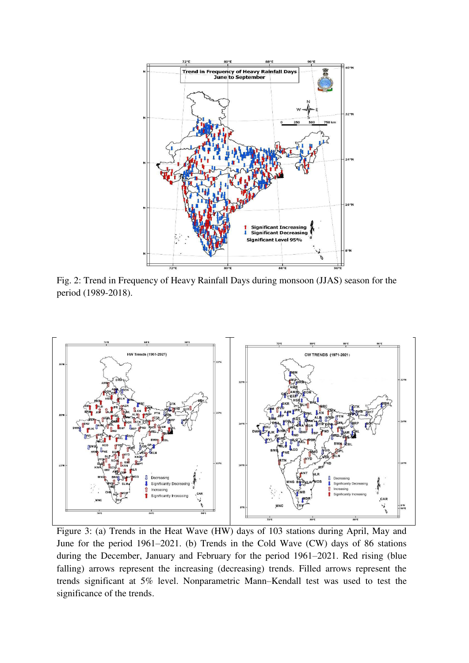

Fig. 2: Trend in Frequency of Heavy Rainfall Days during monsoon (JJAS) season for the period (1989-2018).



Figure 3: (a) Trends in the Heat Wave (HW) days of 103 stations during April, May and June for the period 1961–2021. (b) Trends in the Cold Wave (CW) days of 86 stations during the December, January and February for the period 1961–2021. Red rising (blue falling) arrows represent the increasing (decreasing) trends. Filled arrows represent the trends significant at 5% level. Nonparametric Mann–Kendall test was used to test the significance of the trends.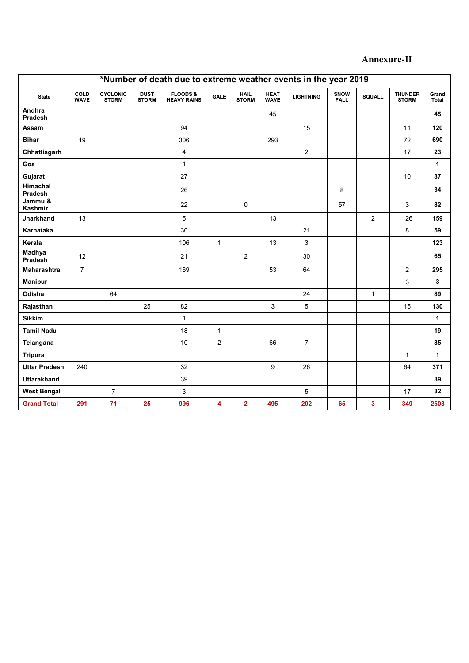# **Annexure-II**

| *Number of death due to extreme weather events in the year 2019 |                     |                                 |                             |                                           |                |                             |                            |                  |                     |                |                                |                |
|-----------------------------------------------------------------|---------------------|---------------------------------|-----------------------------|-------------------------------------------|----------------|-----------------------------|----------------------------|------------------|---------------------|----------------|--------------------------------|----------------|
| <b>State</b>                                                    | COLD<br><b>WAVE</b> | <b>CYCLONIC</b><br><b>STORM</b> | <b>DUST</b><br><b>STORM</b> | <b>FLOODS &amp;</b><br><b>HEAVY RAINS</b> | <b>GALE</b>    | <b>HAIL</b><br><b>STORM</b> | <b>HEAT</b><br><b>WAVE</b> | <b>LIGHTNING</b> | SNOW<br><b>FALL</b> | <b>SQUALL</b>  | <b>THUNDER</b><br><b>STORM</b> | Grand<br>Total |
| Andhra<br>Pradesh                                               |                     |                                 |                             |                                           |                |                             | 45                         |                  |                     |                |                                | 45             |
| Assam                                                           |                     |                                 |                             | 94                                        |                |                             |                            | 15               |                     |                | 11                             | 120            |
| <b>Bihar</b>                                                    | 19                  |                                 |                             | 306                                       |                |                             | 293                        |                  |                     |                | 72                             | 690            |
| Chhattisgarh                                                    |                     |                                 |                             | $\overline{\mathbf{4}}$                   |                |                             |                            | $\overline{c}$   |                     |                | 17                             | 23             |
| Goa                                                             |                     |                                 |                             | $\mathbf{1}$                              |                |                             |                            |                  |                     |                |                                | 1              |
| Gujarat                                                         |                     |                                 |                             | 27                                        |                |                             |                            |                  |                     |                | 10                             | 37             |
| Himachal<br>Pradesh                                             |                     |                                 |                             | 26                                        |                |                             |                            |                  | 8                   |                |                                | 34             |
| Jammu &<br>Kashmir                                              |                     |                                 |                             | 22                                        |                | 0                           |                            |                  | 57                  |                | 3                              | 82             |
| <b>Jharkhand</b>                                                | 13                  |                                 |                             | 5                                         |                |                             | 13                         |                  |                     | $\overline{2}$ | 126                            | 159            |
| Karnataka                                                       |                     |                                 |                             | 30                                        |                |                             |                            | 21               |                     |                | 8                              | 59             |
| Kerala                                                          |                     |                                 |                             | 106                                       | $\mathbf{1}$   |                             | 13                         | 3                |                     |                |                                | 123            |
| <b>Madhya</b><br>Pradesh                                        | 12                  |                                 |                             | 21                                        |                | $\overline{2}$              |                            | 30               |                     |                |                                | 65             |
| <b>Maharashtra</b>                                              | $\overline{7}$      |                                 |                             | 169                                       |                |                             | 53                         | 64               |                     |                | $\overline{2}$                 | 295            |
| <b>Manipur</b>                                                  |                     |                                 |                             |                                           |                |                             |                            |                  |                     |                | 3                              | 3              |
| Odisha                                                          |                     | 64                              |                             |                                           |                |                             |                            | 24               |                     | $\mathbf{1}$   |                                | 89             |
| Rajasthan                                                       |                     |                                 | 25                          | 82                                        |                |                             | 3                          | 5                |                     |                | 15                             | 130            |
| <b>Sikkim</b>                                                   |                     |                                 |                             | $\mathbf{1}$                              |                |                             |                            |                  |                     |                |                                | $\mathbf{1}$   |
| <b>Tamil Nadu</b>                                               |                     |                                 |                             | 18                                        | $\mathbf{1}$   |                             |                            |                  |                     |                |                                | 19             |
| Telangana                                                       |                     |                                 |                             | 10                                        | $\overline{2}$ |                             | 66                         | $\overline{7}$   |                     |                |                                | 85             |
| <b>Tripura</b>                                                  |                     |                                 |                             |                                           |                |                             |                            |                  |                     |                | $\mathbf{1}$                   | $\mathbf{1}$   |
| <b>Uttar Pradesh</b>                                            | 240                 |                                 |                             | 32                                        |                |                             | 9                          | 26               |                     |                | 64                             | 371            |
| <b>Uttarakhand</b>                                              |                     |                                 |                             | 39                                        |                |                             |                            |                  |                     |                |                                | 39             |
| <b>West Bengal</b>                                              |                     | $\overline{7}$                  |                             | 3                                         |                |                             |                            | 5                |                     |                | 17                             | 32             |
| <b>Grand Total</b>                                              | 291                 | 71                              | 25                          | 996                                       | 4              | $\overline{2}$              | 495                        | 202              | 65                  | 3              | 349                            | 2503           |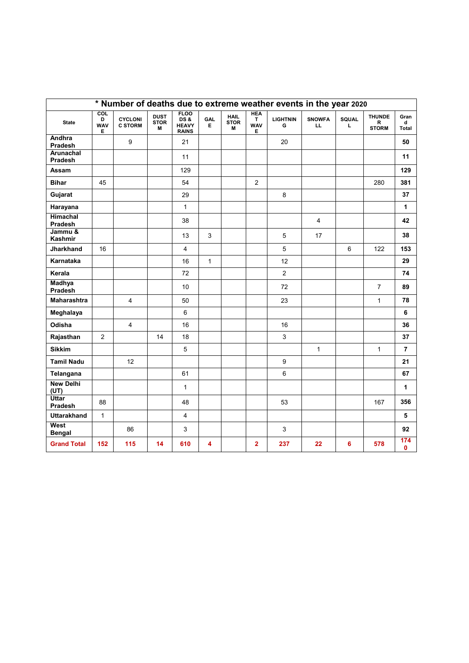| * Number of deaths due to extreme weather events in the year 2020 |                                                 |                                  |                                 |                                                    |              |                                 |                                     |                      |                      |            |                                    |                     |
|-------------------------------------------------------------------|-------------------------------------------------|----------------------------------|---------------------------------|----------------------------------------------------|--------------|---------------------------------|-------------------------------------|----------------------|----------------------|------------|------------------------------------|---------------------|
| <b>State</b>                                                      | $\overline{\text{col}}$<br>D<br><b>WAV</b><br>Е | <b>CYCLONI</b><br><b>C STORM</b> | <b>DUST</b><br><b>STOR</b><br>M | <b>FLOO</b><br>DS&<br><b>HEAVY</b><br><b>RAINS</b> | GAL<br>Е     | <b>HAIL</b><br><b>STOR</b><br>M | <b>HEA</b><br>T.<br><b>WAV</b><br>Е | <b>LIGHTNIN</b><br>G | <b>SNOWFA</b><br>LL. | SQUAL<br>L | <b>THUNDE</b><br>R<br><b>STORM</b> | Gran<br>d<br>Total  |
| Andhra<br>Pradesh                                                 |                                                 | 9                                |                                 | 21                                                 |              |                                 |                                     | 20                   |                      |            |                                    | 50                  |
| Arunachal<br>Pradesh                                              |                                                 |                                  |                                 | 11                                                 |              |                                 |                                     |                      |                      |            |                                    | 11                  |
| <b>Assam</b>                                                      |                                                 |                                  |                                 | 129                                                |              |                                 |                                     |                      |                      |            |                                    | 129                 |
| <b>Bihar</b>                                                      | 45                                              |                                  |                                 | 54                                                 |              |                                 | $\overline{c}$                      |                      |                      |            | 280                                | 381                 |
| Gujarat                                                           |                                                 |                                  |                                 | 29                                                 |              |                                 |                                     | 8                    |                      |            |                                    | 37                  |
| Harayana                                                          |                                                 |                                  |                                 | $\mathbf{1}$                                       |              |                                 |                                     |                      |                      |            |                                    | 1                   |
| <b>Himachal</b><br>Pradesh                                        |                                                 |                                  |                                 | 38                                                 |              |                                 |                                     |                      | $\overline{4}$       |            |                                    | 42                  |
| Jammu &<br>Kashmir                                                |                                                 |                                  |                                 | 13                                                 | 3            |                                 |                                     | 5                    | 17                   |            |                                    | 38                  |
| <b>Jharkhand</b>                                                  | 16                                              |                                  |                                 | 4                                                  |              |                                 |                                     | 5                    |                      | 6          | 122                                | 153                 |
| Karnataka                                                         |                                                 |                                  |                                 | 16                                                 | $\mathbf{1}$ |                                 |                                     | 12                   |                      |            |                                    | 29                  |
| Kerala                                                            |                                                 |                                  |                                 | 72                                                 |              |                                 |                                     | $\overline{2}$       |                      |            |                                    | 74                  |
| <b>Madhya</b><br>Pradesh                                          |                                                 |                                  |                                 | 10                                                 |              |                                 |                                     | 72                   |                      |            | $\overline{7}$                     | 89                  |
| <b>Maharashtra</b>                                                |                                                 | 4                                |                                 | 50                                                 |              |                                 |                                     | 23                   |                      |            | $\mathbf{1}$                       | 78                  |
| Meghalaya                                                         |                                                 |                                  |                                 | 6                                                  |              |                                 |                                     |                      |                      |            |                                    | 6                   |
| Odisha                                                            |                                                 | $\overline{4}$                   |                                 | 16                                                 |              |                                 |                                     | 16                   |                      |            |                                    | 36                  |
| Rajasthan                                                         | $\overline{2}$                                  |                                  | 14                              | 18                                                 |              |                                 |                                     | 3                    |                      |            |                                    | 37                  |
| <b>Sikkim</b>                                                     |                                                 |                                  |                                 | 5                                                  |              |                                 |                                     |                      | $\mathbf{1}$         |            | $\mathbf{1}$                       | $\overline{7}$      |
| <b>Tamil Nadu</b>                                                 |                                                 | 12                               |                                 |                                                    |              |                                 |                                     | 9                    |                      |            |                                    | 21                  |
| Telangana                                                         |                                                 |                                  |                                 | 61                                                 |              |                                 |                                     | 6                    |                      |            |                                    | 67                  |
| <b>New Delhi</b><br>(UT)                                          |                                                 |                                  |                                 | $\mathbf{1}$                                       |              |                                 |                                     |                      |                      |            |                                    | 1                   |
| <b>Uttar</b><br>Pradesh                                           | 88                                              |                                  |                                 | 48                                                 |              |                                 |                                     | 53                   |                      |            | 167                                | 356                 |
| <b>Uttarakhand</b>                                                | $\mathbf{1}$                                    |                                  |                                 | 4                                                  |              |                                 |                                     |                      |                      |            |                                    | 5                   |
| West<br><b>Bengal</b>                                             |                                                 | 86                               |                                 | 3                                                  |              |                                 |                                     | $\mathsf 3$          |                      |            |                                    | 92                  |
| <b>Grand Total</b>                                                | 152                                             | 115                              | 14                              | 610                                                | 4            |                                 | $\overline{2}$                      | 237                  | 22                   | 6          | 578                                | 174<br>$\mathbf{0}$ |